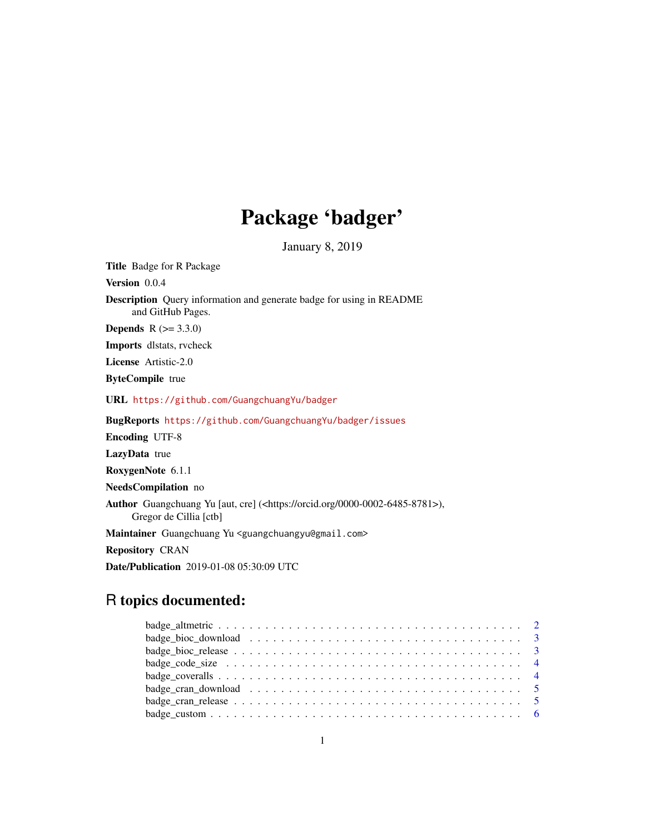# Package 'badger'

January 8, 2019

Title Badge for R Package

Version 0.0.4

Description Query information and generate badge for using in README and GitHub Pages.

**Depends**  $R$  ( $>= 3.3.0$ )

Imports dlstats, rvcheck

License Artistic-2.0

ByteCompile true

URL <https://github.com/GuangchuangYu/badger>

BugReports <https://github.com/GuangchuangYu/badger/issues>

Encoding UTF-8

LazyData true

RoxygenNote 6.1.1

NeedsCompilation no

Author Guangchuang Yu [aut, cre] (<https://orcid.org/0000-0002-6485-8781>), Gregor de Cillia [ctb]

Maintainer Guangchuang Yu <guangchuangyu@gmail.com>

Repository CRAN

Date/Publication 2019-01-08 05:30:09 UTC

# R topics documented:

| badge_code_size $\dots \dots \dots \dots \dots \dots \dots \dots \dots \dots \dots \dots \dots \dots \dots$        |  |
|--------------------------------------------------------------------------------------------------------------------|--|
|                                                                                                                    |  |
| badge_cran_download $\ldots \ldots \ldots \ldots \ldots \ldots \ldots \ldots \ldots \ldots \ldots \ldots \ldots 5$ |  |
|                                                                                                                    |  |
|                                                                                                                    |  |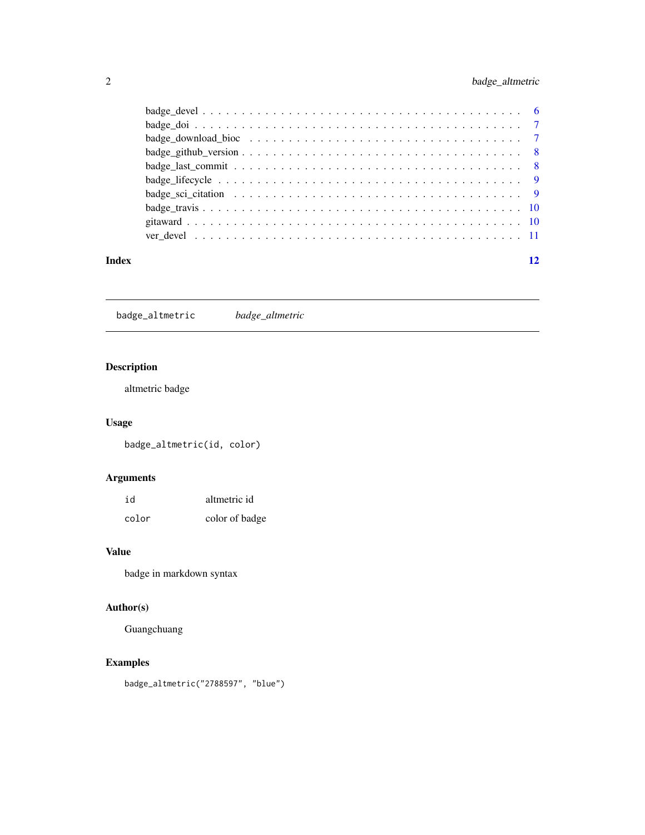# <span id="page-1-0"></span>2 badge\_altmetric

| Index |                                                                                                          | 12 |
|-------|----------------------------------------------------------------------------------------------------------|----|
|       |                                                                                                          |    |
|       |                                                                                                          |    |
|       |                                                                                                          |    |
|       | badge sci citation $\ldots \ldots \ldots \ldots \ldots \ldots \ldots \ldots \ldots \ldots \ldots \ldots$ |    |
|       |                                                                                                          |    |
|       |                                                                                                          |    |
|       |                                                                                                          |    |
|       |                                                                                                          |    |
|       |                                                                                                          |    |
|       |                                                                                                          |    |

badge\_altmetric *badge\_altmetric*

# Description

altmetric badge

# Usage

badge\_altmetric(id, color)

# Arguments

| id    | altmetric id   |
|-------|----------------|
| color | color of badge |

#### Value

badge in markdown syntax

# Author(s)

Guangchuang

# Examples

badge\_altmetric("2788597", "blue")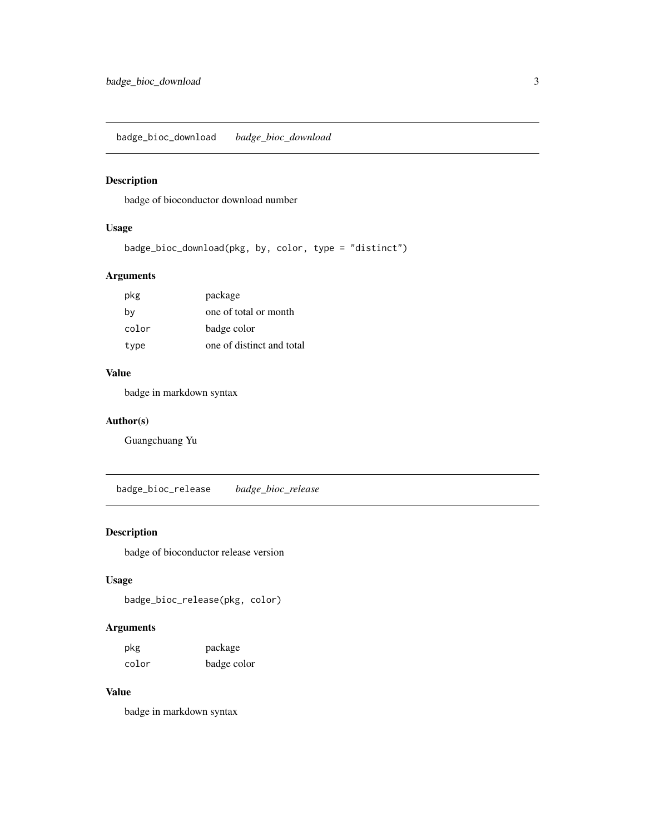<span id="page-2-0"></span>badge\_bioc\_download *badge\_bioc\_download*

# Description

badge of bioconductor download number

# Usage

```
badge_bioc_download(pkg, by, color, type = "distinct")
```
# Arguments

| pkg   | package                   |
|-------|---------------------------|
| by    | one of total or month     |
| color | badge color               |
| type  | one of distinct and total |

#### Value

badge in markdown syntax

#### Author(s)

Guangchuang Yu

badge\_bioc\_release *badge\_bioc\_release*

# Description

badge of bioconductor release version

# Usage

badge\_bioc\_release(pkg, color)

# Arguments

| pkg   | package     |
|-------|-------------|
| color | badge color |

# Value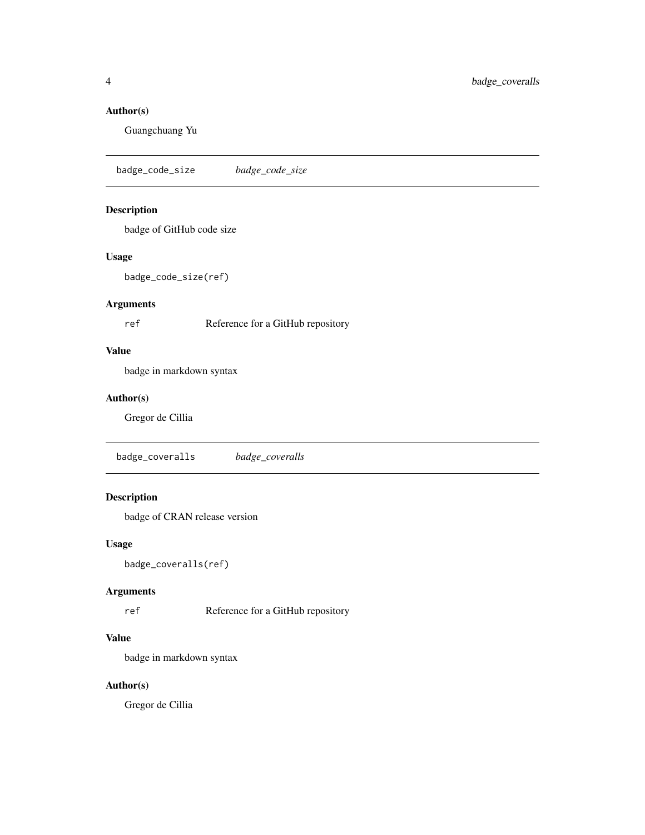# <span id="page-3-0"></span>Author(s)

Guangchuang Yu

badge\_code\_size *badge\_code\_size*

# Description

badge of GitHub code size

# Usage

badge\_code\_size(ref)

#### Arguments

ref Reference for a GitHub repository

## Value

badge in markdown syntax

#### Author(s)

Gregor de Cillia

badge\_coveralls *badge\_coveralls*

# Description

badge of CRAN release version

#### Usage

```
badge_coveralls(ref)
```
# Arguments

ref Reference for a GitHub repository

#### Value

badge in markdown syntax

# Author(s)

Gregor de Cillia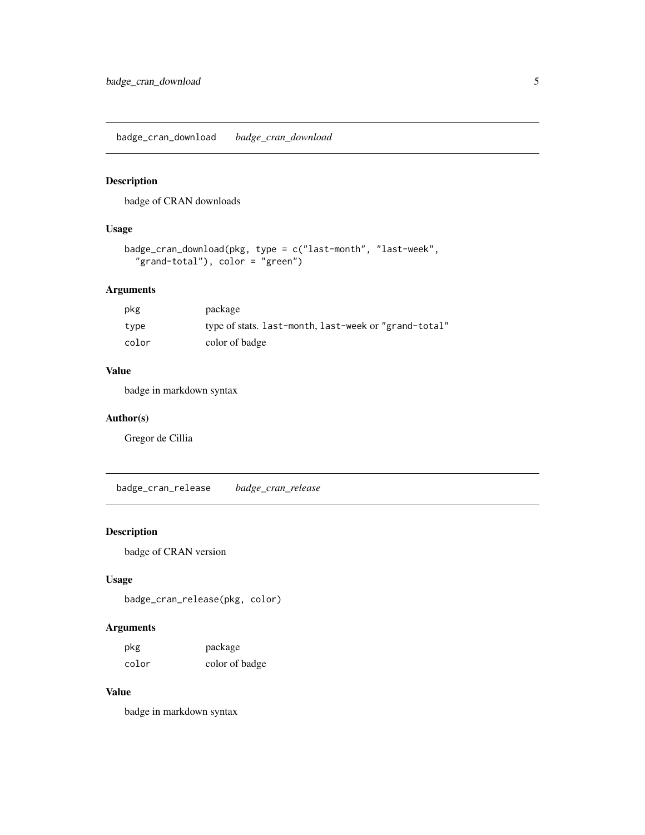<span id="page-4-0"></span>badge\_cran\_download *badge\_cran\_download*

# Description

badge of CRAN downloads

# Usage

```
badge_cran_download(pkg, type = c("last-month", "last-week",
"grand-total"), color = "green")
```
# Arguments

| pkg   | package                                               |
|-------|-------------------------------------------------------|
| type  | type of stats. last-month, last-week or "grand-total" |
| color | color of badge                                        |

## Value

badge in markdown syntax

# Author(s)

Gregor de Cillia

badge\_cran\_release *badge\_cran\_release*

# Description

badge of CRAN version

# Usage

badge\_cran\_release(pkg, color)

# Arguments

| pkg   | package        |
|-------|----------------|
| color | color of badge |

# Value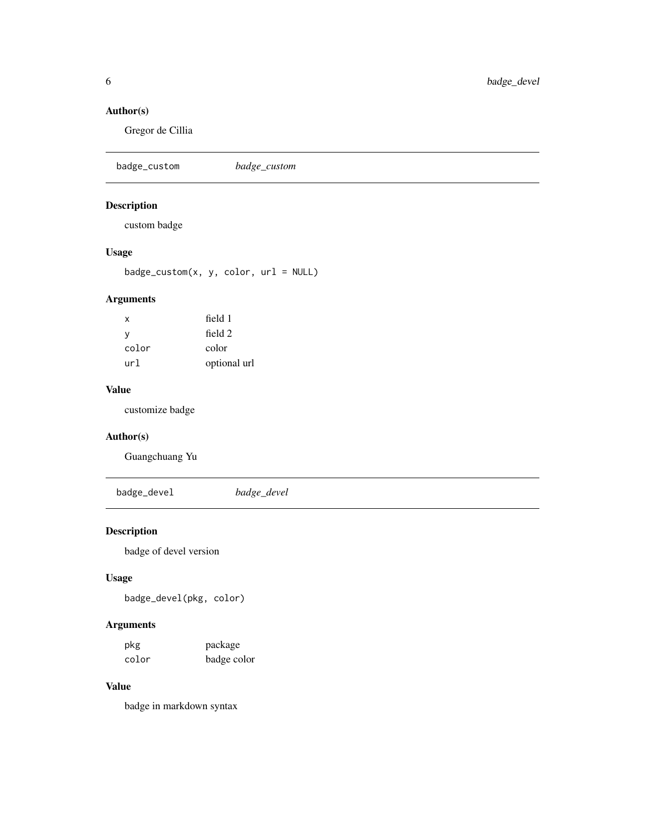# <span id="page-5-0"></span>Author(s)

Gregor de Cillia

badge\_custom *badge\_custom*

# Description

custom badge

# Usage

badge\_custom(x, y, color, url = NULL)

# Arguments

| x     | field 1      |
|-------|--------------|
| y     | field 2      |
| color | color        |
| url   | optional url |

# Value

customize badge

# Author(s)

Guangchuang Yu

badge\_devel *badge\_devel*

# Description

badge of devel version

# Usage

badge\_devel(pkg, color)

# Arguments

| pkg   | package     |
|-------|-------------|
| color | badge color |

# Value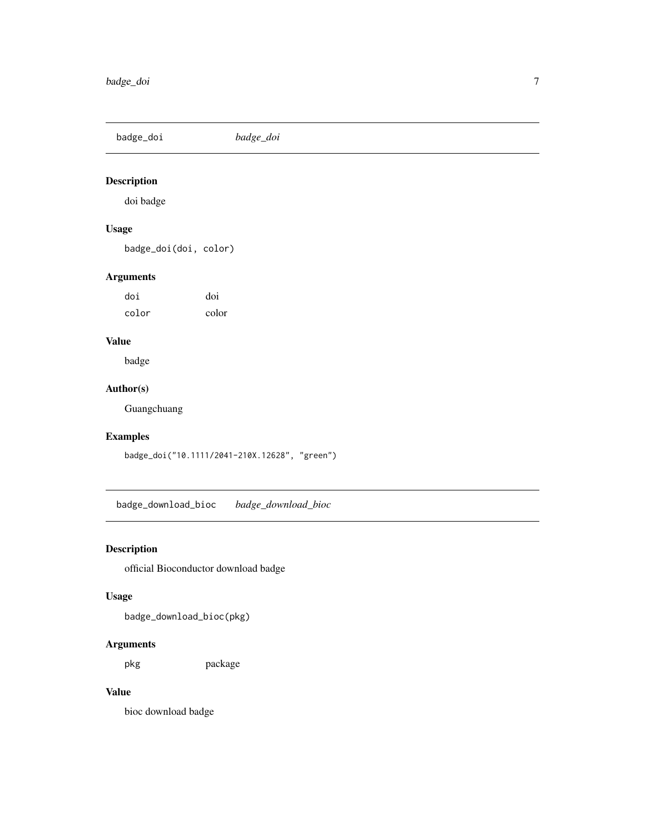<span id="page-6-0"></span>badge\_doi *badge\_doi*

# Description

doi badge

# Usage

badge\_doi(doi, color)

# Arguments

doi doi color color

# Value

badge

# Author(s)

Guangchuang

# Examples

badge\_doi("10.1111/2041-210X.12628", "green")

badge\_download\_bioc *badge\_download\_bioc*

# Description

official Bioconductor download badge

# Usage

badge\_download\_bioc(pkg)

# Arguments

pkg package

# Value

bioc download badge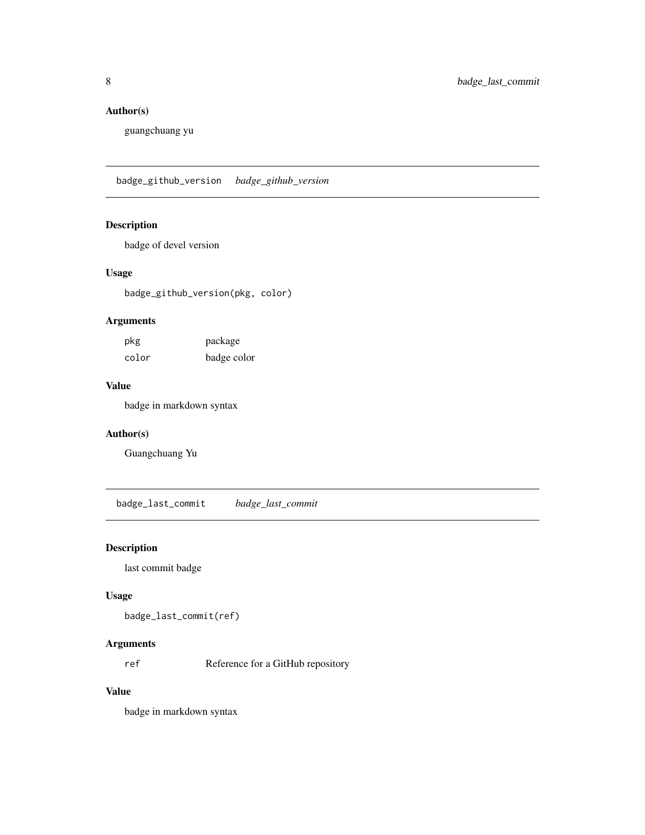# <span id="page-7-0"></span>Author(s)

guangchuang yu

badge\_github\_version *badge\_github\_version*

# Description

badge of devel version

#### Usage

badge\_github\_version(pkg, color)

# Arguments

| pkg   | package     |
|-------|-------------|
| color | badge color |

# Value

badge in markdown syntax

#### Author(s)

Guangchuang Yu

badge\_last\_commit *badge\_last\_commit*

# Description

last commit badge

#### Usage

badge\_last\_commit(ref)

# Arguments

ref Reference for a GitHub repository

# Value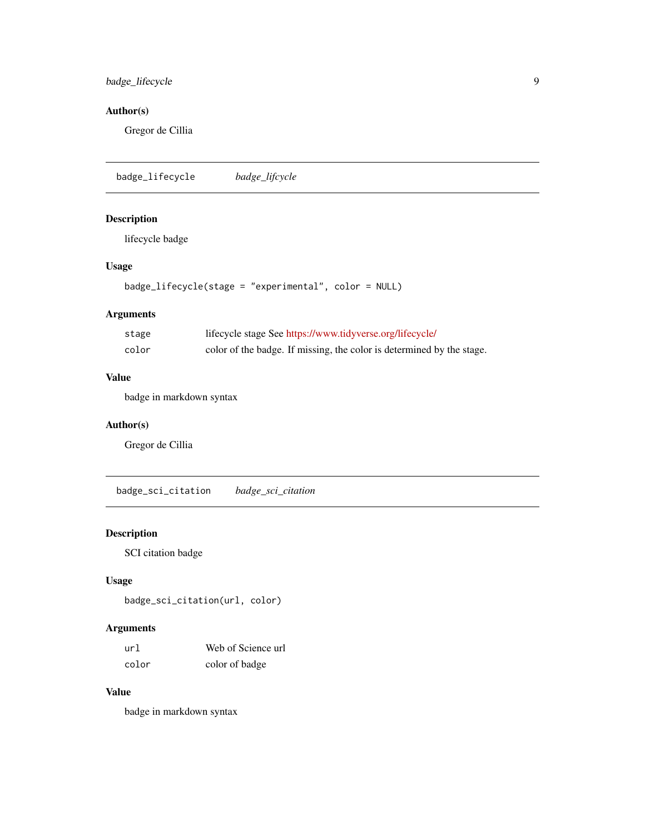# <span id="page-8-0"></span>badge\_lifecycle 9

# Author(s)

Gregor de Cillia

badge\_lifecycle *badge\_lifcycle*

# Description

lifecycle badge

# Usage

```
badge_lifecycle(stage = "experimental", color = NULL)
```
# Arguments

| stage | lifecycle stage See https://www.tidyverse.org/lifecycle/              |
|-------|-----------------------------------------------------------------------|
| color | color of the badge. If missing, the color is determined by the stage. |

# Value

badge in markdown syntax

#### Author(s)

Gregor de Cillia

badge\_sci\_citation *badge\_sci\_citation*

# Description

SCI citation badge

# Usage

badge\_sci\_citation(url, color)

# Arguments

| url   | Web of Science url |
|-------|--------------------|
| color | color of badge     |

# Value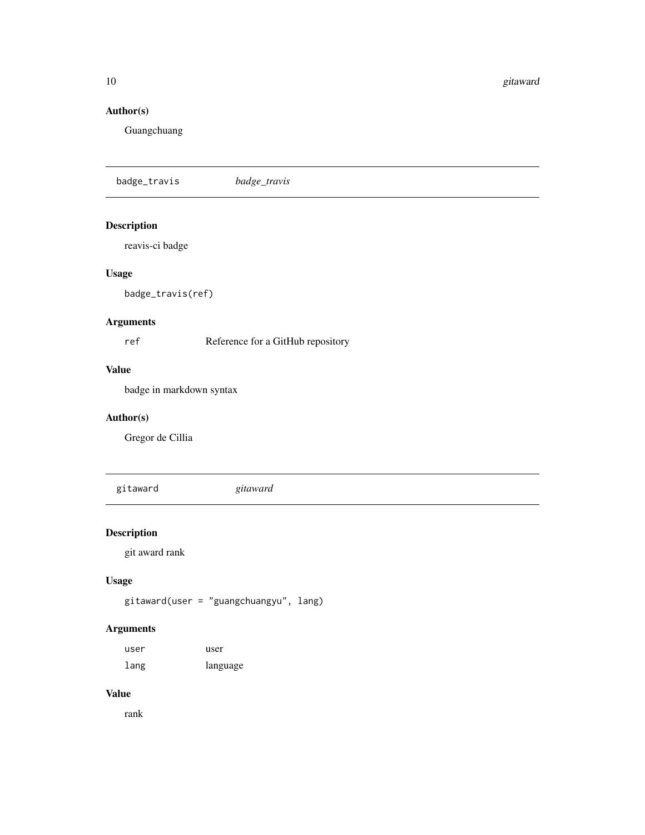<span id="page-9-0"></span>10 gitaward gant a band a good and a good and a good and a good and a good and a good and a good and a good and a good and a good and a good and a good and a good and a good and a good and a good and a good and a good and

# Author(s)

Guangchuang

badge\_travis *badge\_travis*

# Description

reavis-ci badge

# Usage

badge\_travis(ref)

# Arguments

ref Reference for a GitHub repository

#### Value

badge in markdown syntax

# Author(s)

Gregor de Cillia

gitaward *gitaward*

# Description

git award rank

# Usage

gitaward(user = "guangchuangyu", lang)

# Arguments

| user | user     |
|------|----------|
| lang | language |

#### Value

rank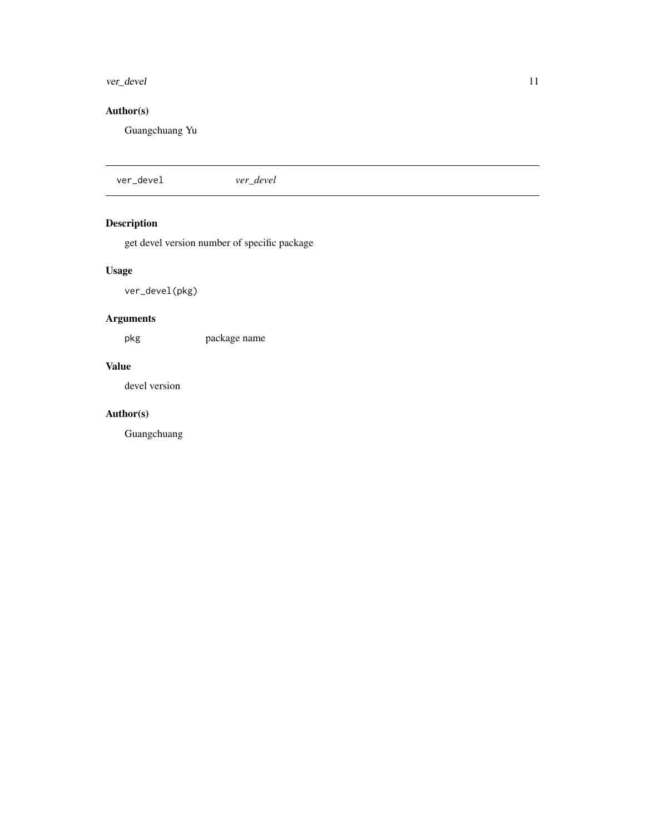#### <span id="page-10-0"></span>ver\_devel 11

# Author(s)

Guangchuang Yu

ver\_devel *ver\_devel*

# Description

get devel version number of specific package

# Usage

ver\_devel(pkg)

# Arguments

pkg package name

# Value

devel version

# Author(s)

Guangchuang